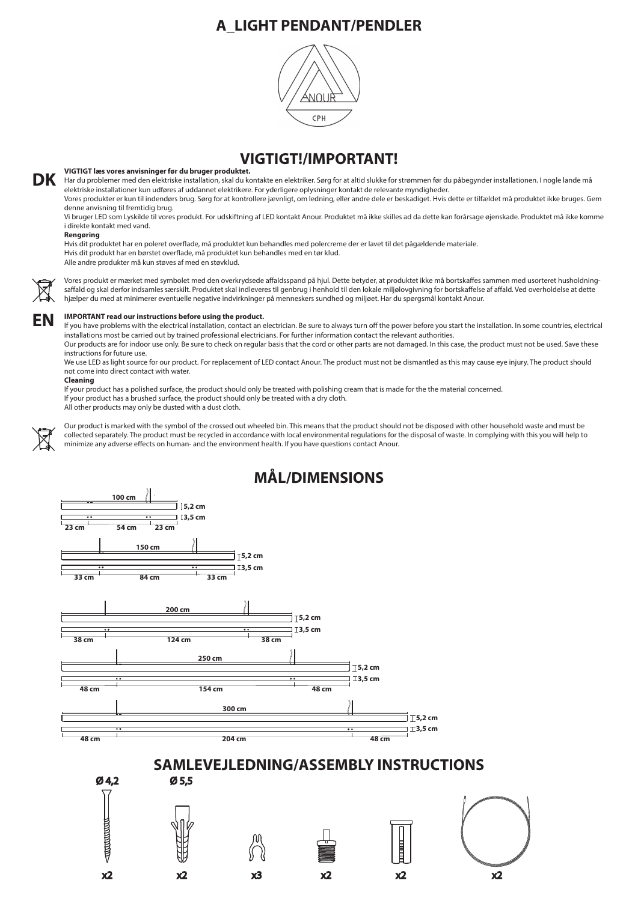## **VIGTIGT!/IMPORTANT!**

### **VIGTIGT læs vores anvisninger før du bruger produktet.**

Vores produkter er kun til indendørs brug. Sørg for at kontrollere jævnligt, om ledning, eller andre dele er beskadiget. Hvis dette er tilfældet må produktet ikke bruges. Gem denne anvisning til fremtidig brug.

Hvis dit produktet har en poleret overflade, må produktet kun behandles med polercreme der er lavet til det pågældende materiale. Hvis dit produkt har en børstet overflade, må produktet kun behandles med en tør klud. Alle andre produkter må kun støves af med en støvklud.



Vi bruger LED som Lyskilde til vores produkt. For udskiftning af LED kontakt Anour. Produktet må ikke skilles ad da dette kan forårsage øjenskade. Produktet må ikke komme i direkte kontakt med vand.

Vores produkt er mærket med symbolet med den overkrydsede affaldsspand på hjul. Dette betyder, at produktet ikke må bortskaffes sammen med usorteret husholdningsaffald og skal derfor indsamles særskilt. Produktet skal indleveres til genbrug i henhold til den lokale miljølovgivning for bortskaffelse af affald. Ved overholdelse at dette hjælper du med at minimerer eventuelle negative indvirkninger på menneskers sundhed og miljøet. Har du spørgsmål kontakt Anour.

#### **Rengøring**

If you have problems with the electrical installation, contact an electrician. Be sure to always turn off the power before you start the installation. In some countries, electrical installations most be carried out by trained professional electricians. For further information contact the relevant authorities.

Our products are for indoor use only. Be sure to check on regular basis that the cord or other parts are not damaged. In this case, the product must not be used. Save these instructions for future use.

We use LED as light source for our product. For replacement of LED contact Anour. The product must not be dismantled as this may cause eye injury. The product should not come into direct contact with water.

Our product is marked with the symbol of the crossed out wheeled bin. This means that the product should not be disposed with other household waste and must be collected separately. The product must be recycled in accordance with local environmental regulations for the disposal of waste. In complying with this you will help to minimize any adverse effects on human- and the environment health. If you have questions contact Anour.

Har du problemer med den elektriske installation, skal du kontakte en elektriker. Sørg for at altid slukke for strømmen før du påbegynder installationen. I nogle lande må elektriske installationer kun udføres af uddannet elektrikere. For yderligere oplysninger kontakt de relevante myndigheder. **DK**

### **Cleaning**



If your product has a polished surface, the product should only be treated with polishing cream that is made for the the material concerned. If your product has a brushed surface, the product should only be treated with a dry cloth.

All other products may only be dusted with a dust cloth.





# **MÅL/DIMENSIONS**

# **A\_LIGHT PENDANT/PENDLER**